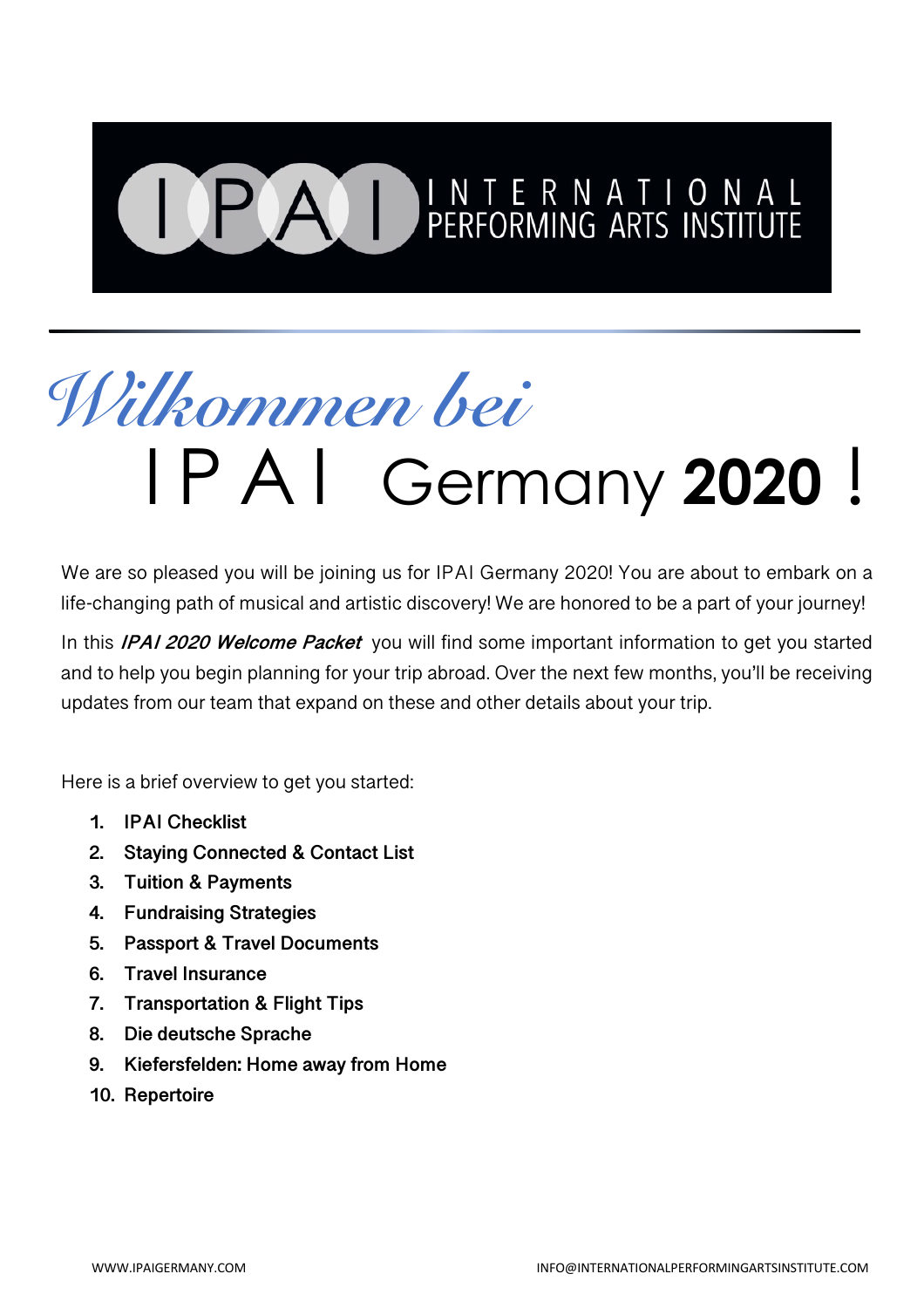# **PAI PERFORMING ARTS INSTITUTE**

## *Wilkommen bei* I PAI Germany **2020** !

We are so pleased you will be joining us for IPAI Germany 2020! You are about to embark on a life-changing path of musical and artistic discovery! We are honored to be a part of your journey!

In this **IPAI 2020 Welcome Packet** you will find some important information to get you started and to help you begin planning for your trip abroad. Over the next few months, you'll be receiving updates from our team that expand on these and other details about your trip.

Here is a brief overview to get you started:

- **1. IPAI Checklist**
- **2. Staying Connected & Contact List**
- **3. Tuition & Payments**
- **4. Fundraising Strategies**
- **5. Passport & Travel Documents**
- **6. Travel Insurance**
- **7. Transportation & Flight Tips**
- **8. Die deutsche Sprache**
- **9. Kiefersfelden: Home away from Home**
- **10. Repertoire**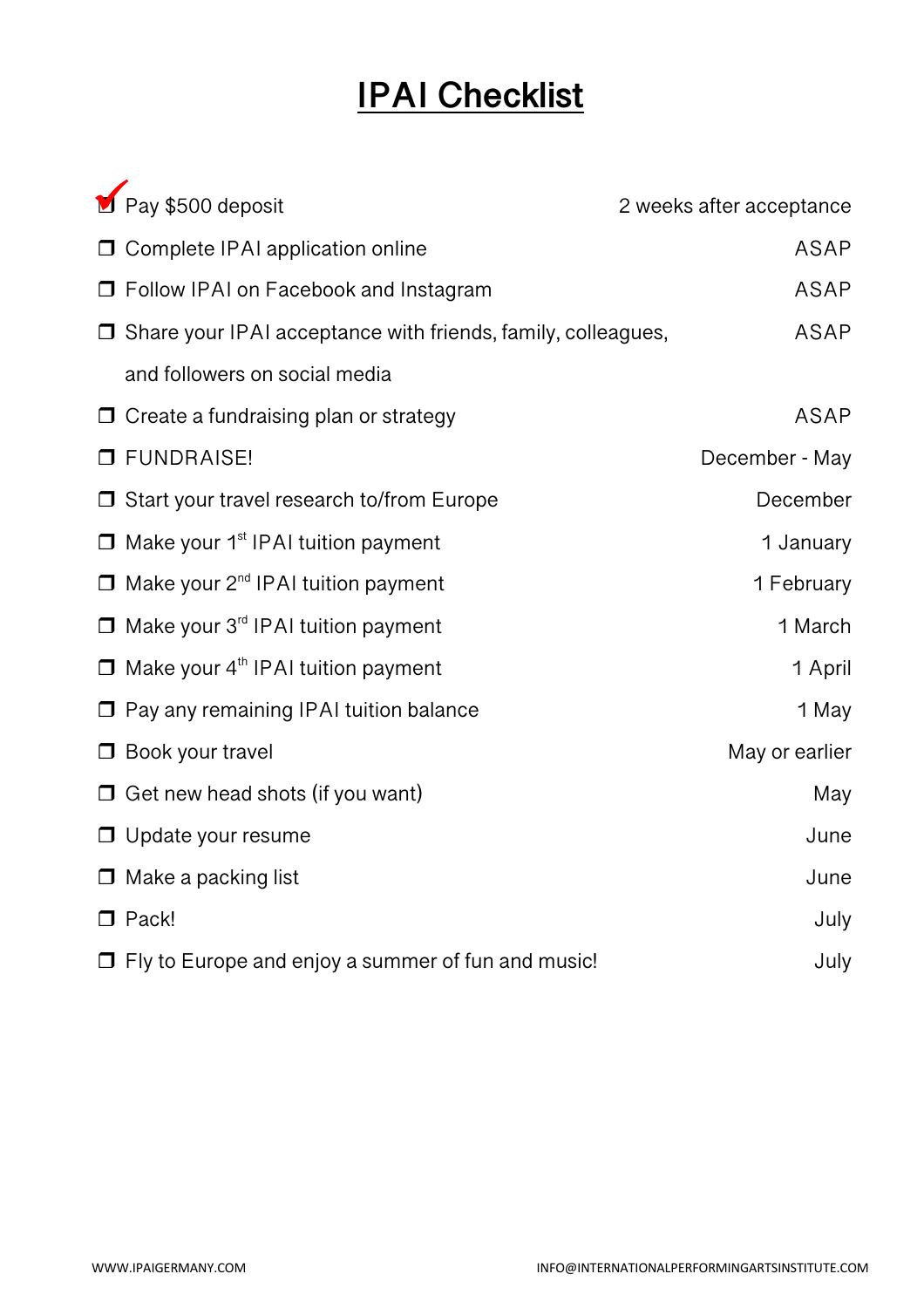## **IPAI Checklist**

| Pay \$500 deposit                                                   | 2 weeks after acceptance |
|---------------------------------------------------------------------|--------------------------|
| Complete IPAI application online                                    | <b>ASAP</b>              |
| □ Follow IPAI on Facebook and Instagram                             | <b>ASAP</b>              |
| $\Box$ Share your IPAI acceptance with friends, family, colleagues, | <b>ASAP</b>              |
| and followers on social media                                       |                          |
| $\Box$ Create a fundraising plan or strategy                        | <b>ASAP</b>              |
| <b>O</b> FUNDRAISE!                                                 | December - May           |
| $\Box$ Start your travel research to/from Europe                    | December                 |
| $\Box$ Make your 1 <sup>st</sup> IPAI tuition payment               | 1 January                |
| $\Box$ Make your 2 <sup>nd</sup> IPAI tuition payment               | 1 February               |
| $\Box$ Make your 3 <sup>rd</sup> IPAI tuition payment               | 1 March                  |
| $\Box$ Make your 4 <sup>th</sup> IPAI tuition payment               | 1 April                  |
| $\Box$ Pay any remaining IPAI tuition balance                       | 1 May                    |
| $\Box$ Book your travel                                             | May or earlier           |
| $\Box$ Get new head shots (if you want)                             | May                      |
| $\Box$ Update your resume                                           | June                     |
| $\Box$ Make a packing list                                          | June                     |
| $\Box$ Pack!                                                        | July                     |
| $\Box$ Fly to Europe and enjoy a summer of fun and music!           | July                     |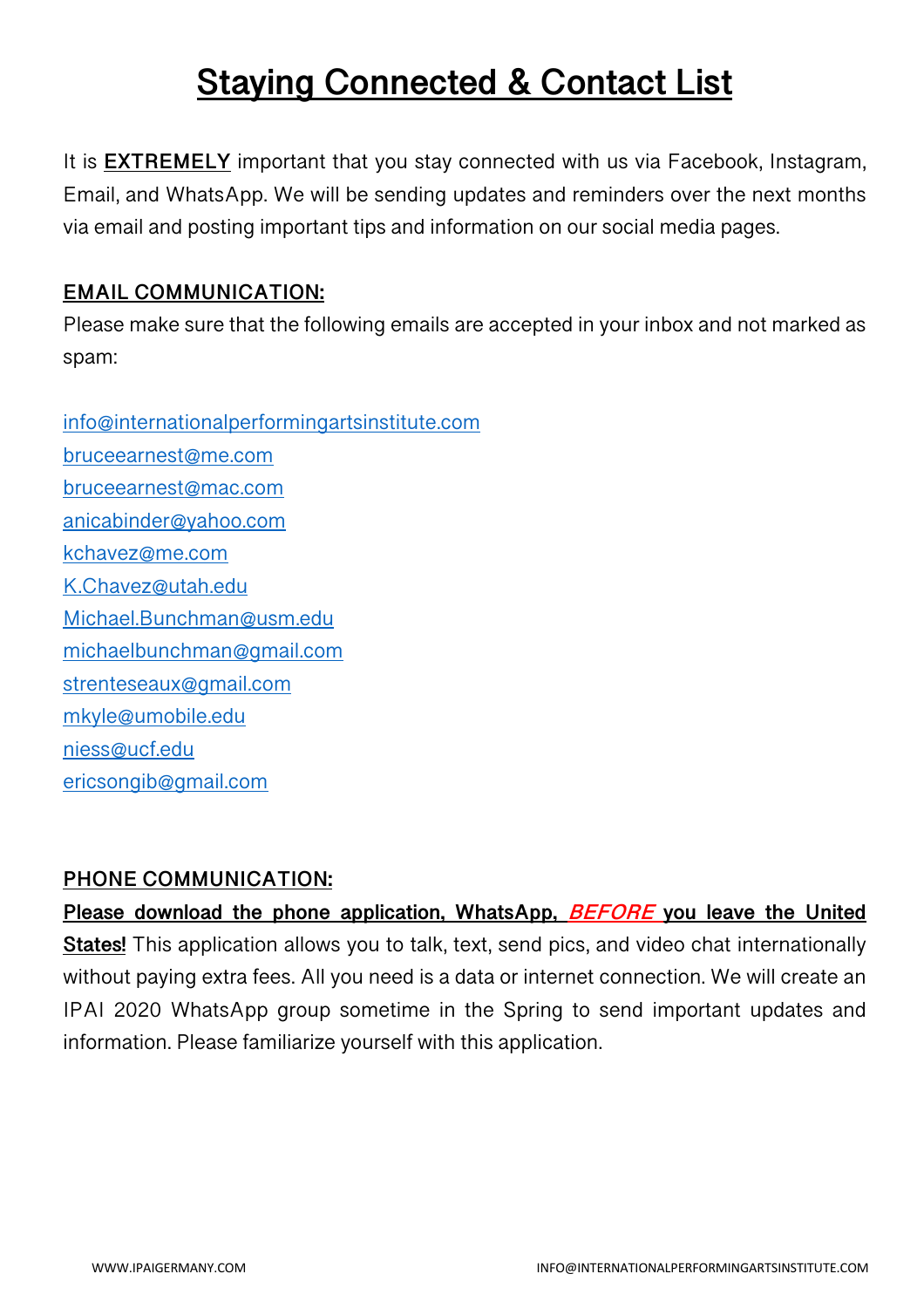## **Staying Connected & Contact List**

It is **EXTREMELY** important that you stay connected with us via Facebook, Instagram, Email, and WhatsApp. We will be sending updates and reminders over the next months via email and posting important tips and information on our social media pages.

#### **EMAIL COMMUNICATION:**

Please make sure that the following emails are accepted in your inbox and not marked as spam:

info@internationalperformingartsinstitute.com bruceearnest@me.com bruceearnest@mac.com anicabinder@yahoo.com kchavez@me.com K.Chavez@utah.edu Michael.Bunchman@usm.edu michaelbunchman@gmail.com strenteseaux@gmail.com mkyle@umobile.edu niess@ucf.edu ericsongib@gmail.com

#### **PHONE COMMUNICATION:**

**Please download the phone application, WhatsApp, BEFORE you leave the United States!** This application allows you to talk, text, send pics, and video chat internationally without paying extra fees. All you need is a data or internet connection. We will create an IPAI 2020 WhatsApp group sometime in the Spring to send important updates and information. Please familiarize yourself with this application.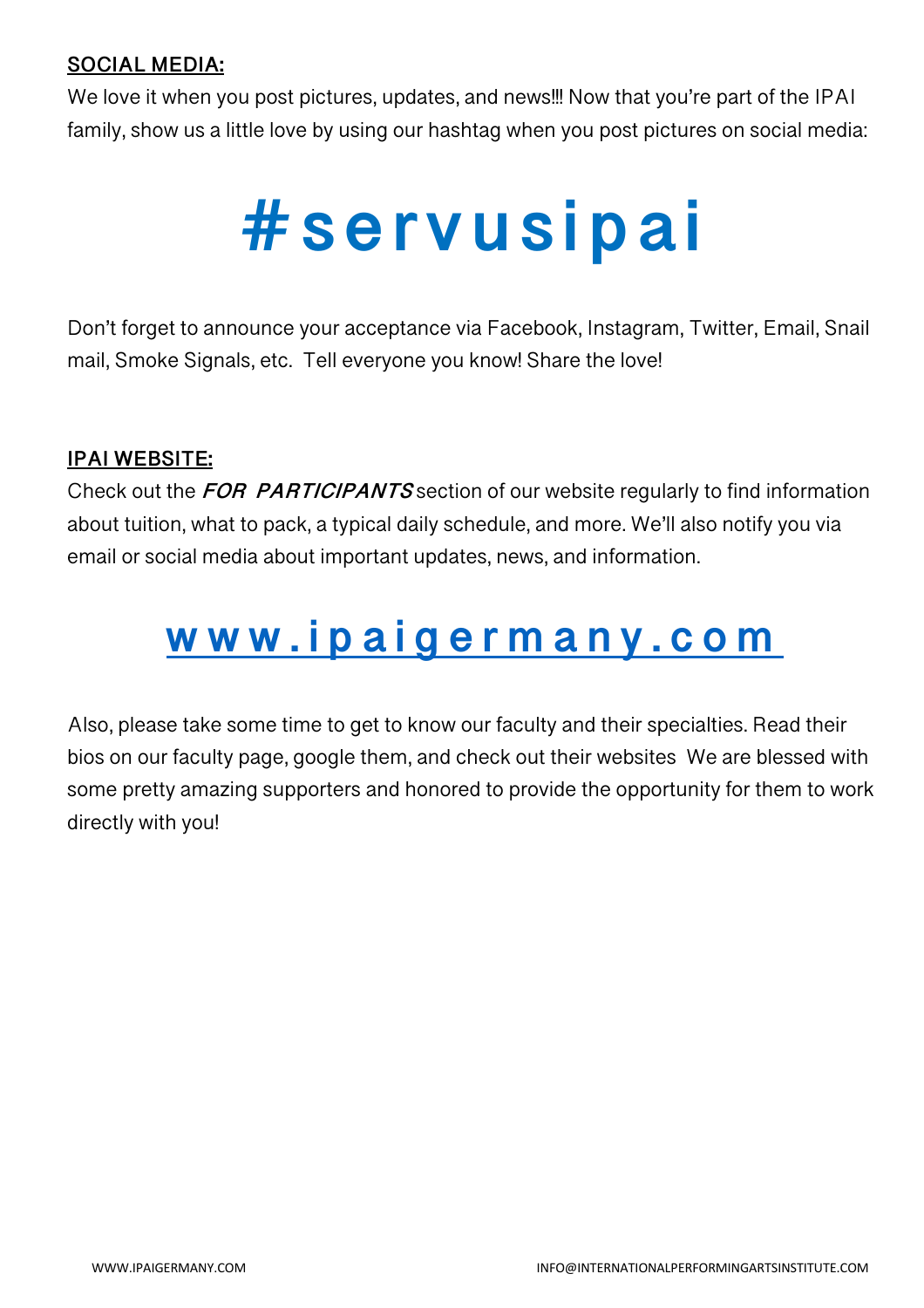#### **SOCIAL MEDIA:**

We love it when you post pictures, updates, and news!!! Now that you're part of the IPAI family, show us a little love by using our hashtag when you post pictures on social media:

## **#servusipai**

Don't forget to announce your acceptance via Facebook, Instagram, Twitter, Email, Snail mail, Smoke Signals, etc. Tell everyone you know! Share the love!

#### **IPAI WEBSITE:**

Check out the **FOR PARTICIPANTS** section of our website regularly to find information about tuition, what to pack, a typical daily schedule, and more. We'll also notify you via email or social media about important updates, news, and information.

## **www.ipaigermany.com**

Also, please take some time to get to know our faculty and their specialties. Read their bios on our faculty page, google them, and check out their websites We are blessed with some pretty amazing supporters and honored to provide the opportunity for them to work directly with you!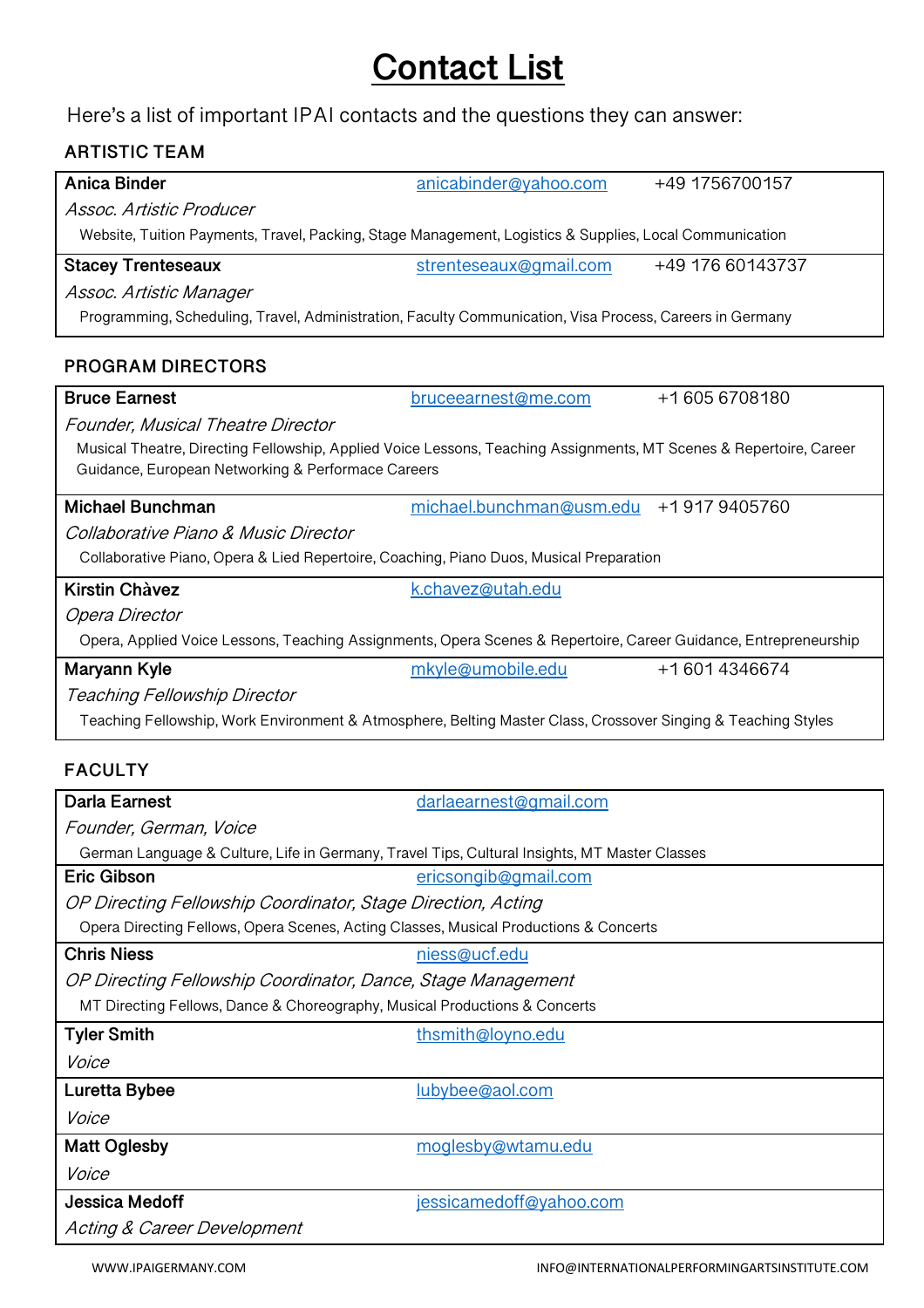### **Contact List**

Here's a list of important IPAI contacts and the questions they can answer:

#### **ARTISTIC TEAM**

| <b>Anica Binder</b>                                                                                                | anicabinder@yahoo.com                 | +49 1756700157   |  |  |
|--------------------------------------------------------------------------------------------------------------------|---------------------------------------|------------------|--|--|
| Assoc, Artistic Producer                                                                                           |                                       |                  |  |  |
| Website, Tuition Payments, Travel, Packing, Stage Management, Logistics & Supplies, Local Communication            |                                       |                  |  |  |
| <b>Stacey Trenteseaux</b>                                                                                          | strenteseaux@gmail.com                | +49 176 60143737 |  |  |
| Assoc. Artistic Manager                                                                                            |                                       |                  |  |  |
| Programming, Scheduling, Travel, Administration, Faculty Communication, Visa Process, Careers in Germany           |                                       |                  |  |  |
|                                                                                                                    |                                       |                  |  |  |
| <b>PROGRAM DIRECTORS</b>                                                                                           |                                       |                  |  |  |
| <b>Bruce Earnest</b>                                                                                               | bruceearnest@me.com                   | +16056708180     |  |  |
| <b>Founder, Musical Theatre Director</b>                                                                           |                                       |                  |  |  |
| Musical Theatre, Directing Fellowship, Applied Voice Lessons, Teaching Assignments, MT Scenes & Repertoire, Career |                                       |                  |  |  |
| Guidance, European Networking & Performace Careers                                                                 |                                       |                  |  |  |
| <b>Michael Bunchman</b>                                                                                            | michael.bunchman@usm.edu +19179405760 |                  |  |  |
| Collaborative Piano & Music Director                                                                               |                                       |                  |  |  |
| Collaborative Piano, Opera & Lied Repertoire, Coaching, Piano Duos, Musical Preparation                            |                                       |                  |  |  |
| <b>Kirstin Chàvez</b>                                                                                              | k.chavez@utah.edu                     |                  |  |  |
| Opera Director                                                                                                     |                                       |                  |  |  |
| Opera, Applied Voice Lessons, Teaching Assignments, Opera Scenes & Repertoire, Career Guidance, Entrepreneurship   |                                       |                  |  |  |
| Maryann Kyle                                                                                                       | mkyle@umobile.edu                     | +16014346674     |  |  |
| Teaching Fellowship Director                                                                                       |                                       |                  |  |  |
| Teaching Fellowship, Work Environment & Atmosphere, Belting Master Class, Crossover Singing & Teaching Styles      |                                       |                  |  |  |
|                                                                                                                    |                                       |                  |  |  |
| <b>FACULTY</b>                                                                                                     |                                       |                  |  |  |
| <b>Darla Earnest</b>                                                                                               | darlaearnest@gmail.com                |                  |  |  |
| Founder, German, Voice                                                                                             |                                       |                  |  |  |
| German Language & Culture, Life in Germany, Travel Tips, Cultural Insights, MT Master Classes                      |                                       |                  |  |  |
| <b>Eric Gibson</b>                                                                                                 | ericsongib@gmail.com                  |                  |  |  |
| OP Directing Fellowship Coordinator, Stage Direction, Acting                                                       |                                       |                  |  |  |
| Opera Directing Fellows, Opera Scenes, Acting Classes, Musical Productions & Concerts                              |                                       |                  |  |  |
| <b>Chris Niess</b>                                                                                                 | niess@ucf.edu                         |                  |  |  |

OP Directing Fellowship Coordinator, Dance, Stage Management

MT Directing Fellows, Dance & Choreography, Musical Productions & Concerts

| <b>Tyler Smith</b>          | thsmith@loyno.edu       |
|-----------------------------|-------------------------|
| Voice                       |                         |
| Luretta Bybee               | lubybee@aol.com         |
| Voice                       |                         |
| <b>Matt Oglesby</b>         | moglesby@wtamu.edu      |
| Voice                       |                         |
| Jessica Medoff              | jessicamedoff@yahoo.com |
| Acting & Career Development |                         |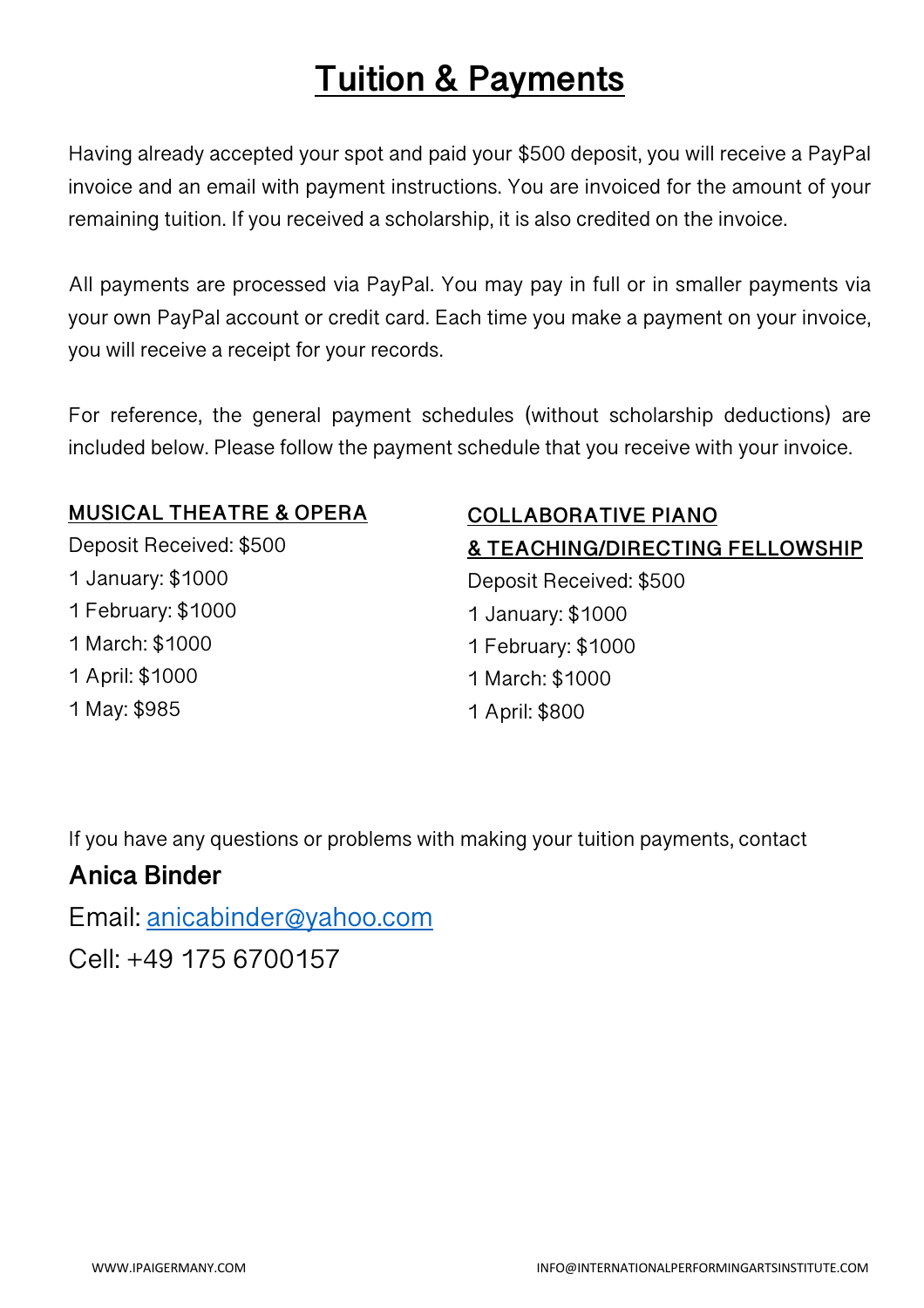## **Tuition & Payments**

Having already accepted your spot and paid your \$500 deposit, you will receive a PayPal invoice and an email with payment instructions. You are invoiced for the amount of your remaining tuition. If you received a scholarship, it is also credited on the invoice.

All payments are processed via PayPal. You may pay in full or in smaller payments via your own PayPal account or credit card. Each time you make a payment on your invoice, you will receive a receipt for your records.

For reference, the general payment schedules (without scholarship deductions) are included below. Please follow the payment schedule that you receive with your invoice.

#### **MUSICAL THEATRE & OPERA**

Deposit Received: \$500 1 January: \$1000 1 February: \$1000 1 March: \$1000 1 April: \$1000 1 May: \$985

#### **COLLABORATIVE PIANO & TEACHING/DIRECTING FELLOWSHIP**

Deposit Received: \$500 1 January: \$1000 1 February: \$1000 1 March: \$1000 1 April: \$800

If you have any questions or problems with making your tuition payments, contact

#### **Anica Binder**

Email: anicabinder@yahoo.com

Cell: +49 175 6700157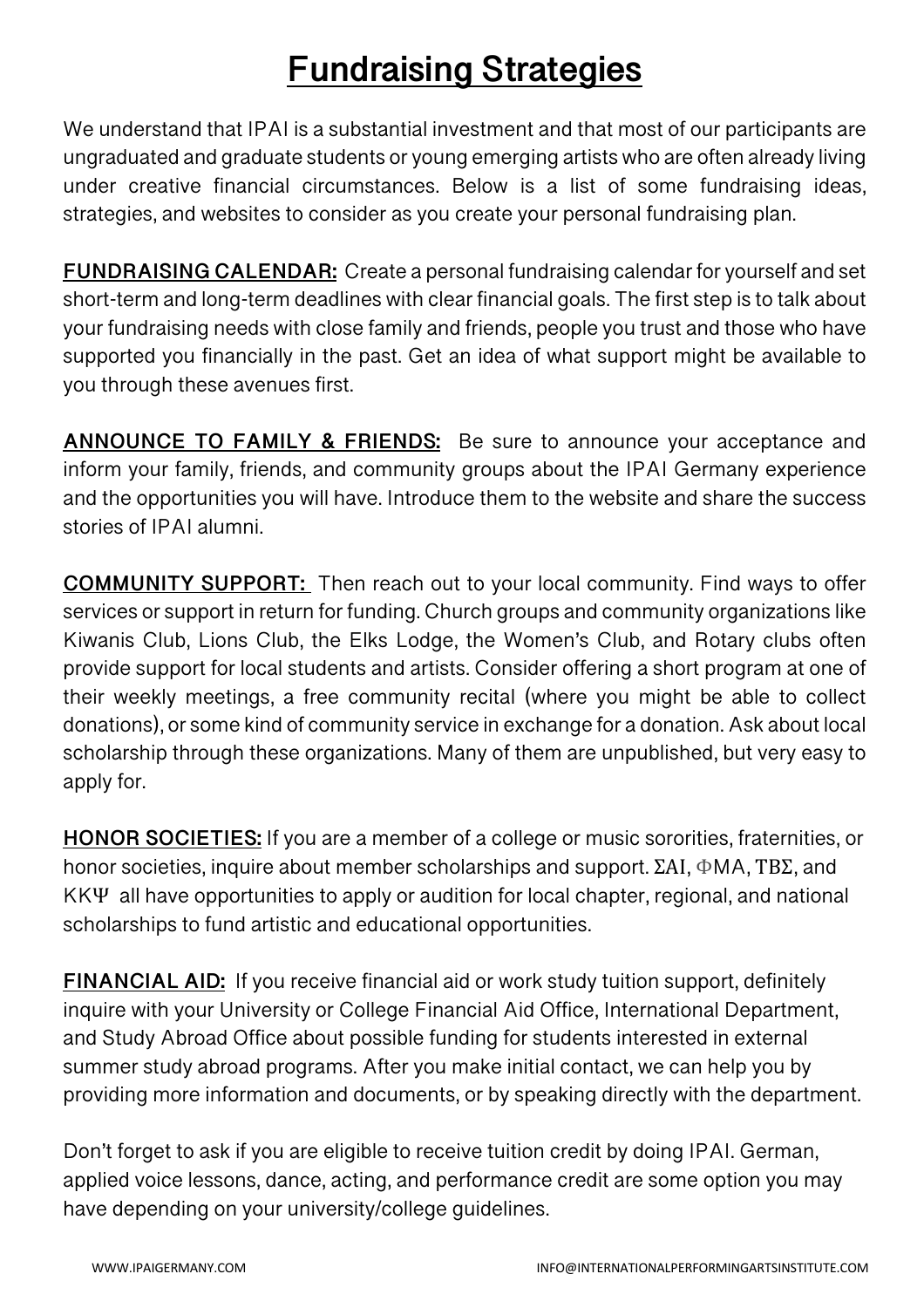## **Fundraising Strategies**

We understand that IPAI is a substantial investment and that most of our participants are ungraduated and graduate students or young emerging artists who are often already living under creative financial circumstances. Below is a list of some fundraising ideas, strategies, and websites to consider as you create your personal fundraising plan.

**FUNDRAISING CALENDAR:** Create a personal fundraising calendar for yourself and set short-term and long-term deadlines with clear financial goals. The first step is to talk about your fundraising needs with close family and friends, people you trust and those who have supported you financially in the past. Get an idea of what support might be available to you through these avenues first.

**ANNOUNCE TO FAMILY & FRIENDS:** Be sure to announce your acceptance and inform your family, friends, and community groups about the IPAI Germany experience and the opportunities you will have. Introduce them to the website and share the success stories of IPAI alumni.

**COMMUNITY SUPPORT:** Then reach out to your local community. Find ways to offer services or support in return for funding. Church groups and community organizations like Kiwanis Club, Lions Club, the Elks Lodge, the Women's Club, and Rotary clubs often provide support for local students and artists. Consider offering a short program at one of their weekly meetings, a free community recital (where you might be able to collect donations), or some kind of community service in exchange for a donation. Ask about local scholarship through these organizations. Many of them are unpublished, but very easy to apply for.

**HONOR SOCIETIES:** If you are a member of a college or music sororities, fraternities, or honor societies, inquire about member scholarships and support. ΣΑΙ, ΦMA, ΤΒΣ, and KKΨ all have opportunities to apply or audition for local chapter, regional, and national scholarships to fund artistic and educational opportunities.

**FINANCIAL AID:** If you receive financial aid or work study tuition support, definitely inquire with your University or College Financial Aid Office, International Department, and Study Abroad Office about possible funding for students interested in external summer study abroad programs. After you make initial contact, we can help you by providing more information and documents, or by speaking directly with the department.

Don't forget to ask if you are eligible to receive tuition credit by doing IPAI. German, applied voice lessons, dance, acting, and performance credit are some option you may have depending on your university/college guidelines.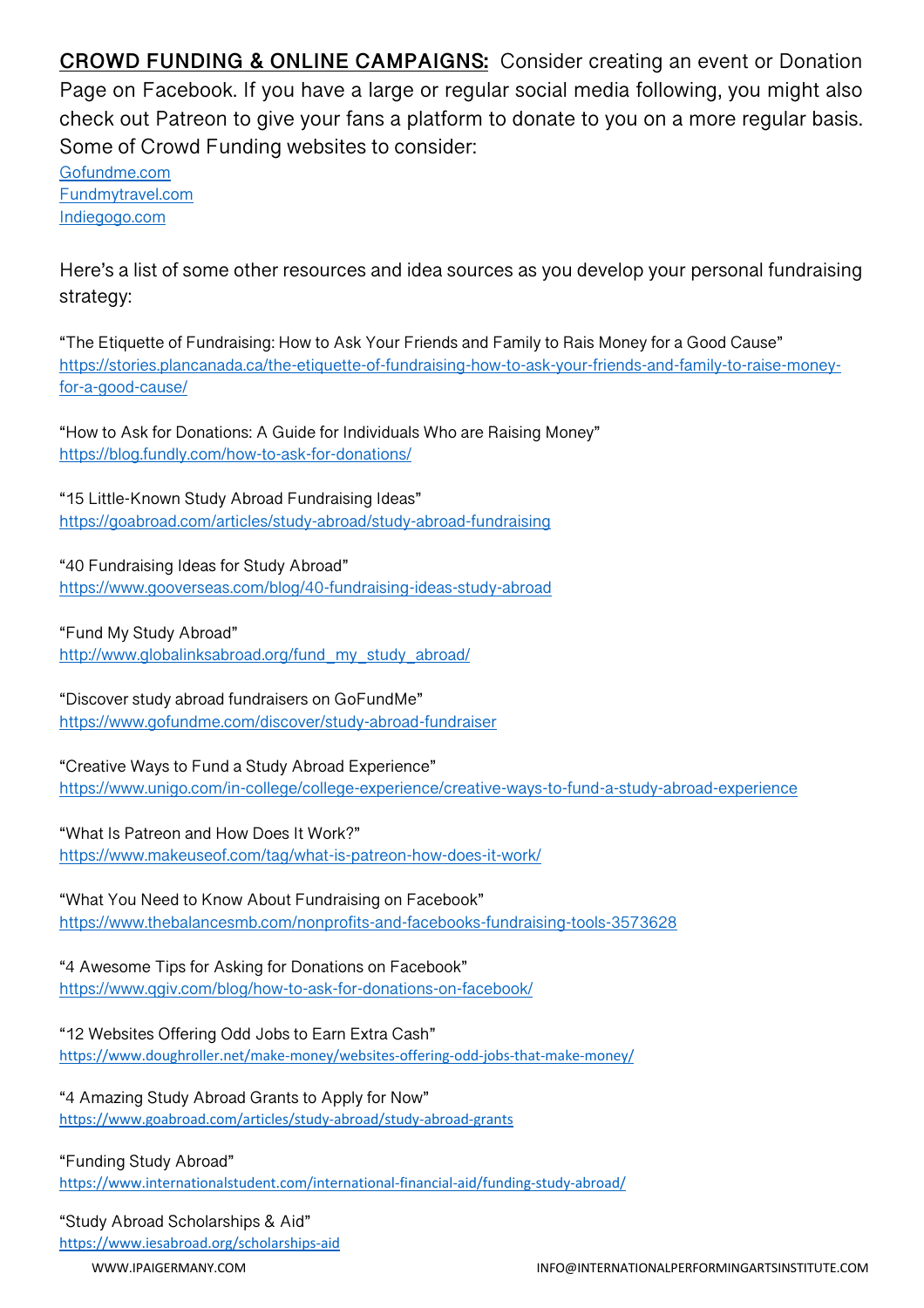**CROWD FUNDING & ONLINE CAMPAIGNS:** Consider creating an event or Donation Page on Facebook. If you have a large or regular social media following, you might also check out Patreon to give your fans a platform to donate to you on a more regular basis. Some of Crowd Funding websites to consider:

Gofundme.com Fundmytravel.com Indiegogo.com

Here's a list of some other resources and idea sources as you develop your personal fundraising strategy:

"The Etiquette of Fundraising: How to Ask Your Friends and Family to Rais Money for a Good Cause" https://stories.plancanada.ca/the-etiquette-of-fundraising-how-to-ask-your-friends-and-family-to-raise-moneyfor-a-good-cause/

"How to Ask for Donations: A Guide for Individuals Who are Raising Money" https://blog.fundly.com/how-to-ask-for-donations/

"15 Little-Known Study Abroad Fundraising Ideas" https://goabroad.com/articles/study-abroad/study-abroad-fundraising

"40 Fundraising Ideas for Study Abroad" https://www.gooverseas.com/blog/40-fundraising-ideas-study-abroad

"Fund My Study Abroad"

http://www.globalinksabroad.org/fund\_my\_study\_abroad/

"Discover study abroad fundraisers on GoFundMe" https://www.gofundme.com/discover/study-abroad-fundraiser

"Creative Ways to Fund a Study Abroad Experience" https://www.unigo.com/in-college/college-experience/creative-ways-to-fund-a-study-abroad-experience

"What Is Patreon and How Does It Work?"

https://www.makeuseof.com/tag/what-is-patreon-how-does-it-work/

"What You Need to Know About Fundraising on Facebook" https://www.thebalancesmb.com/nonprofits-and-facebooks-fundraising-tools-3573628

"4 Awesome Tips for Asking for Donations on Facebook" https://www.qgiv.com/blog/how-to-ask-for-donations-on-facebook/

"12 Websites Offering Odd Jobs to Earn Extra Cash" https://www.doughroller.net/make-money/websites-offering-odd-jobs-that-make-money/

"4 Amazing Study Abroad Grants to Apply for Now" https://www.goabroad.com/articles/study-abroad/study-abroad-grants

"Funding Study Abroad"

https://www.internationalstudent.com/international-financial-aid/funding-study-abroad/

#### "Study Abroad Scholarships & Aid"

https://www.iesabroad.org/scholarships-aid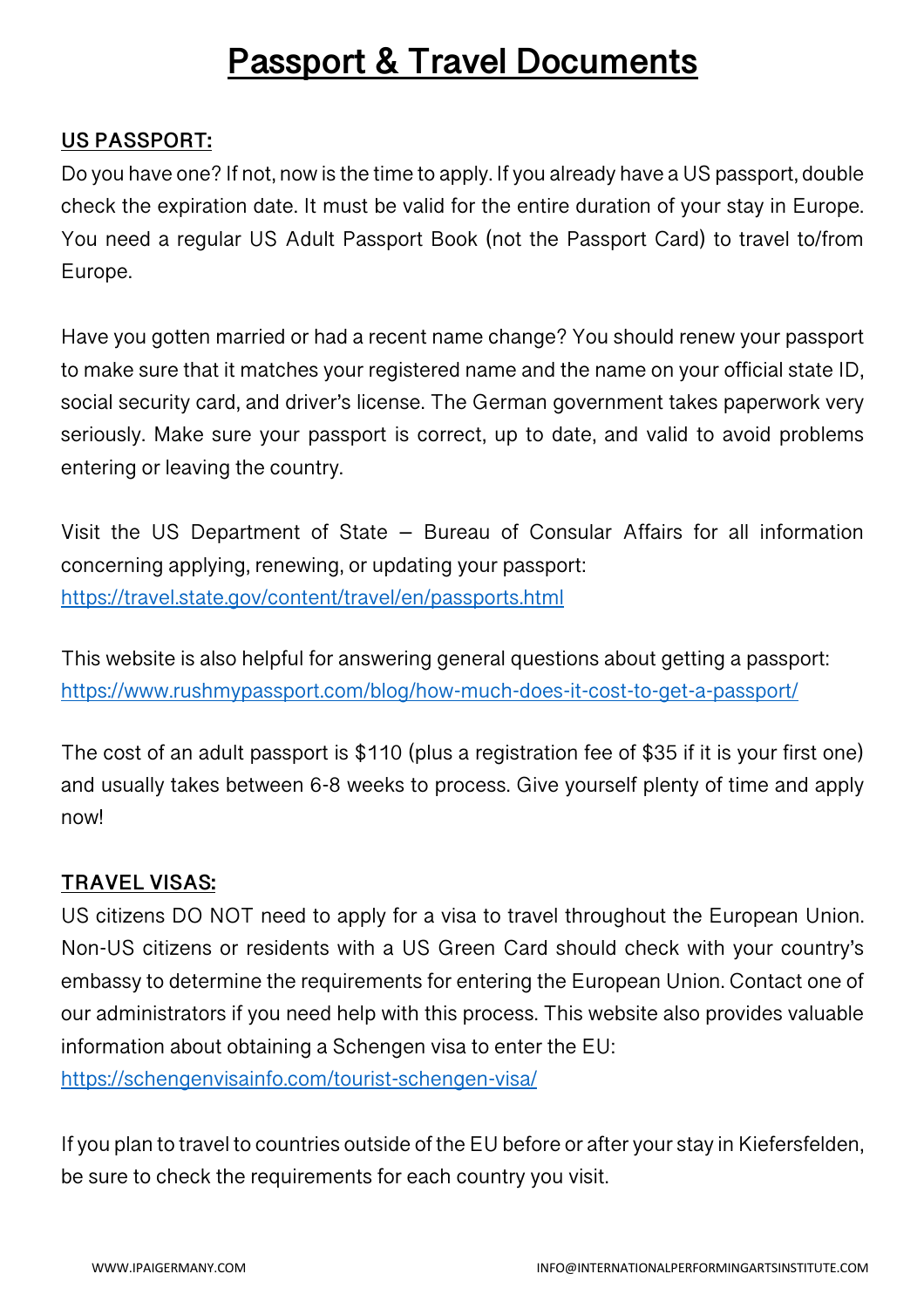### **Passport & Travel Documents**

#### **US PASSPORT:**

Do you have one? If not, now is the time to apply. If you already have a US passport, double check the expiration date. It must be valid for the entire duration of your stay in Europe. You need a regular US Adult Passport Book (not the Passport Card) to travel to/from Europe.

Have you gotten married or had a recent name change? You should renew your passport to make sure that it matches your registered name and the name on your official state ID, social security card, and driver's license. The German government takes paperwork very seriously. Make sure your passport is correct, up to date, and valid to avoid problems entering or leaving the country.

Visit the US Department of State – Bureau of Consular Affairs for all information concerning applying, renewing, or updating your passport: https://travel.state.gov/content/travel/en/passports.html

This website is also helpful for answering general questions about getting a passport: https://www.rushmypassport.com/blog/how-much-does-it-cost-to-get-a-passport/

The cost of an adult passport is \$110 (plus a registration fee of \$35 if it is your first one) and usually takes between 6-8 weeks to process. Give yourself plenty of time and apply now!

#### **TRAVEL VISAS:**

US citizens DO NOT need to apply for a visa to travel throughout the European Union. Non-US citizens or residents with a US Green Card should check with your country's embassy to determine the requirements for entering the European Union. Contact one of our administrators if you need help with this process. This website also provides valuable information about obtaining a Schengen visa to enter the EU:

https://schengenvisainfo.com/tourist-schengen-visa/

If you plan to travel to countries outside of the EU before or after your stay in Kiefersfelden, be sure to check the requirements for each country you visit.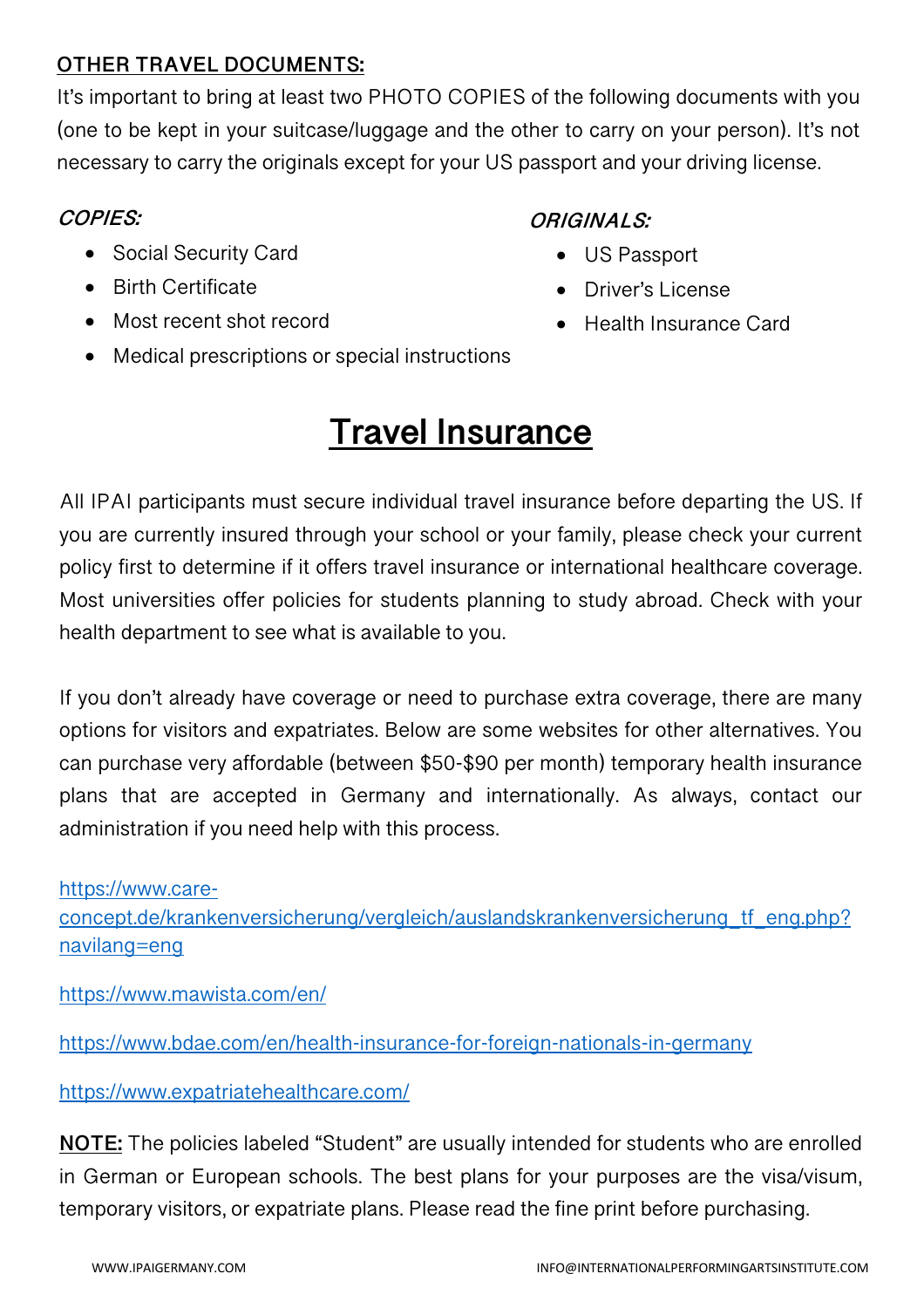#### **OTHER TRAVEL DOCUMENTS:**

It's important to bring at least two PHOTO COPIES of the following documents with you (one to be kept in your suitcase/luggage and the other to carry on your person). It's not necessary to carry the originals except for your US passport and your driving license.

#### **COPIES:**

#### **ORIGINALS:**

- Social Security Card
- Birth Certificate
- Most recent shot record
- US Passport • Driver's License
- Health Insurance Card
- Medical prescriptions or special instructions

## **Travel Insurance**

All IPAI participants must secure individual travel insurance before departing the US. If you are currently insured through your school or your family, please check your current policy first to determine if it offers travel insurance or international healthcare coverage. Most universities offer policies for students planning to study abroad. Check with your health department to see what is available to you.

If you don't already have coverage or need to purchase extra coverage, there are many options for visitors and expatriates. Below are some websites for other alternatives. You can purchase very affordable (between \$50-\$90 per month) temporary health insurance plans that are accepted in Germany and internationally. As always, contact our administration if you need help with this process.

https://www.careconcept.de/krankenversicherung/vergleich/auslandskrankenversicherung\_tf\_eng.php? navilang=eng

https://www.mawista.com/en/

https://www.bdae.com/en/health-insurance-for-foreign-nationals-in-germany

https://www.expatriatehealthcare.com/

**NOTE:** The policies labeled "Student" are usually intended for students who are enrolled in German or European schools. The best plans for your purposes are the visa/visum, temporary visitors, or expatriate plans. Please read the fine print before purchasing.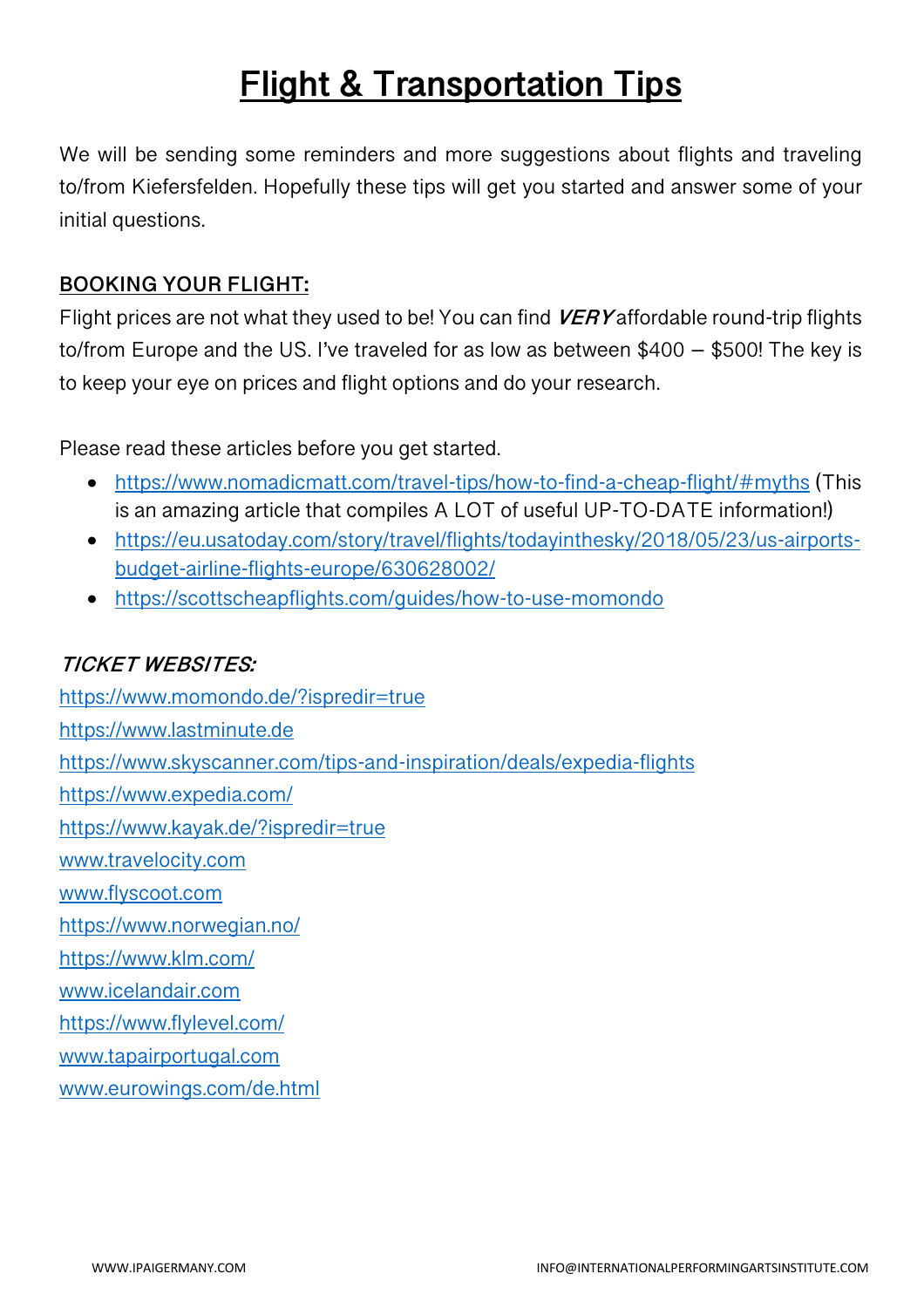## **Flight & Transportation Tips**

We will be sending some reminders and more suggestions about flights and traveling to/from Kiefersfelden. Hopefully these tips will get you started and answer some of your initial questions.

#### **BOOKING YOUR FLIGHT:**

Flight prices are not what they used to be! You can find **VERY** affordable round-trip flights to/from Europe and the US. I've traveled for as low as between \$400 – \$500! The key is to keep your eye on prices and flight options and do your research.

Please read these articles before you get started.

- https://www.nomadicmatt.com/travel-tips/how-to-find-a-cheap-flight/#myths (This is an amazing article that compiles A LOT of useful UP-TO-DATE information!)
- https://eu.usatoday.com/story/travel/flights/todayinthesky/2018/05/23/us-airportsbudget-airline-flights-europe/630628002/
- https://scottscheapflights.com/guides/how-to-use-momondo

#### **TICKET WEBSITES:**

https://www.momondo.de/?ispredir=true https://www.lastminute.de https://www.skyscanner.com/tips-and-inspiration/deals/expedia-flights https://www.expedia.com/ https://www.kayak.de/?ispredir=true www.travelocity.com www.flyscoot.com https://www.norwegian.no/ https://www.klm.com/ www.icelandair.com https://www.flylevel.com/ www.tapairportugal.com www.eurowings.com/de.html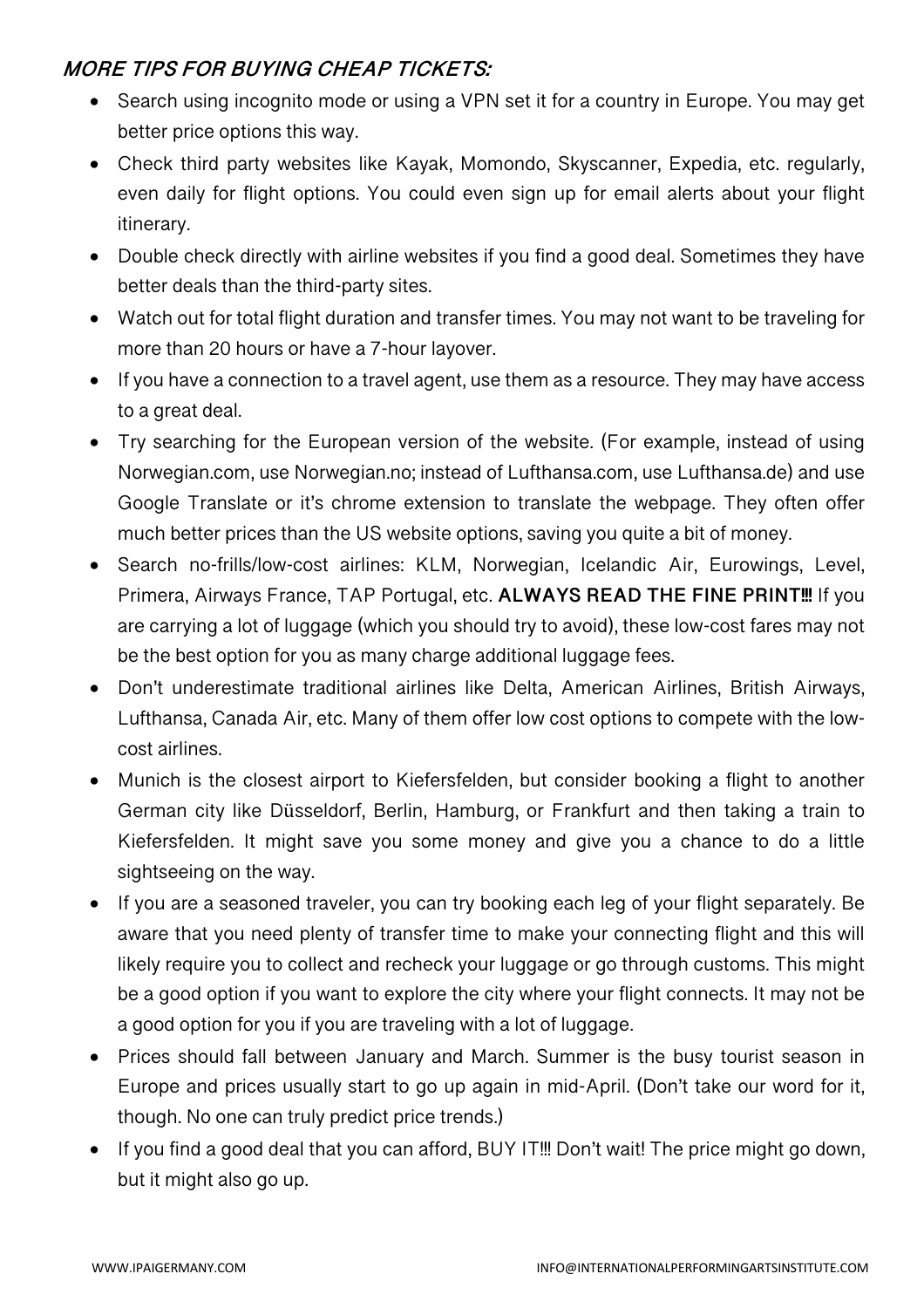#### **MORE TIPS FOR BUYING CHEAP TICKETS:**

- Search using incognito mode or using a VPN set it for a country in Europe. You may get better price options this way.
- Check third party websites like Kayak, Momondo, Skyscanner, Expedia, etc. regularly, even daily for flight options. You could even sign up for email alerts about your flight itinerary.
- Double check directly with airline websites if you find a good deal. Sometimes they have better deals than the third-party sites.
- Watch out for total flight duration and transfer times. You may not want to be traveling for more than 20 hours or have a 7-hour layover.
- If you have a connection to a travel agent, use them as a resource. They may have access to a great deal.
- Try searching for the European version of the website. (For example, instead of using Norwegian.com, use Norwegian.no; instead of Lufthansa.com, use Lufthansa.de) and use Google Translate or it's chrome extension to translate the webpage. They often offer much better prices than the US website options, saving you quite a bit of money.
- Search no-frills/low-cost airlines: KLM, Norwegian, Icelandic Air, Eurowings, Level, Primera, Airways France, TAP Portugal, etc. **ALWAYS READ THE FINE PRINT!!!** If you are carrying a lot of luggage (which you should try to avoid), these low-cost fares may not be the best option for you as many charge additional luggage fees.
- Don't underestimate traditional airlines like Delta, American Airlines, British Airways, Lufthansa, Canada Air, etc. Many of them offer low cost options to compete with the lowcost airlines.
- Munich is the closest airport to Kiefersfelden, but consider booking a flight to another German city like Düsseldorf, Berlin, Hamburg, or Frankfurt and then taking a train to Kiefersfelden. It might save you some money and give you a chance to do a little sightseeing on the way.
- If you are a seasoned traveler, you can try booking each leg of your flight separately. Be aware that you need plenty of transfer time to make your connecting flight and this will likely require you to collect and recheck your luggage or go through customs. This might be a good option if you want to explore the city where your flight connects. It may not be a good option for you if you are traveling with a lot of luggage.
- Prices should fall between January and March. Summer is the busy tourist season in Europe and prices usually start to go up again in mid-April. (Don't take our word for it, though. No one can truly predict price trends.)
- If you find a good deal that you can afford, BUY IT!!! Don't wait! The price might go down, but it might also go up.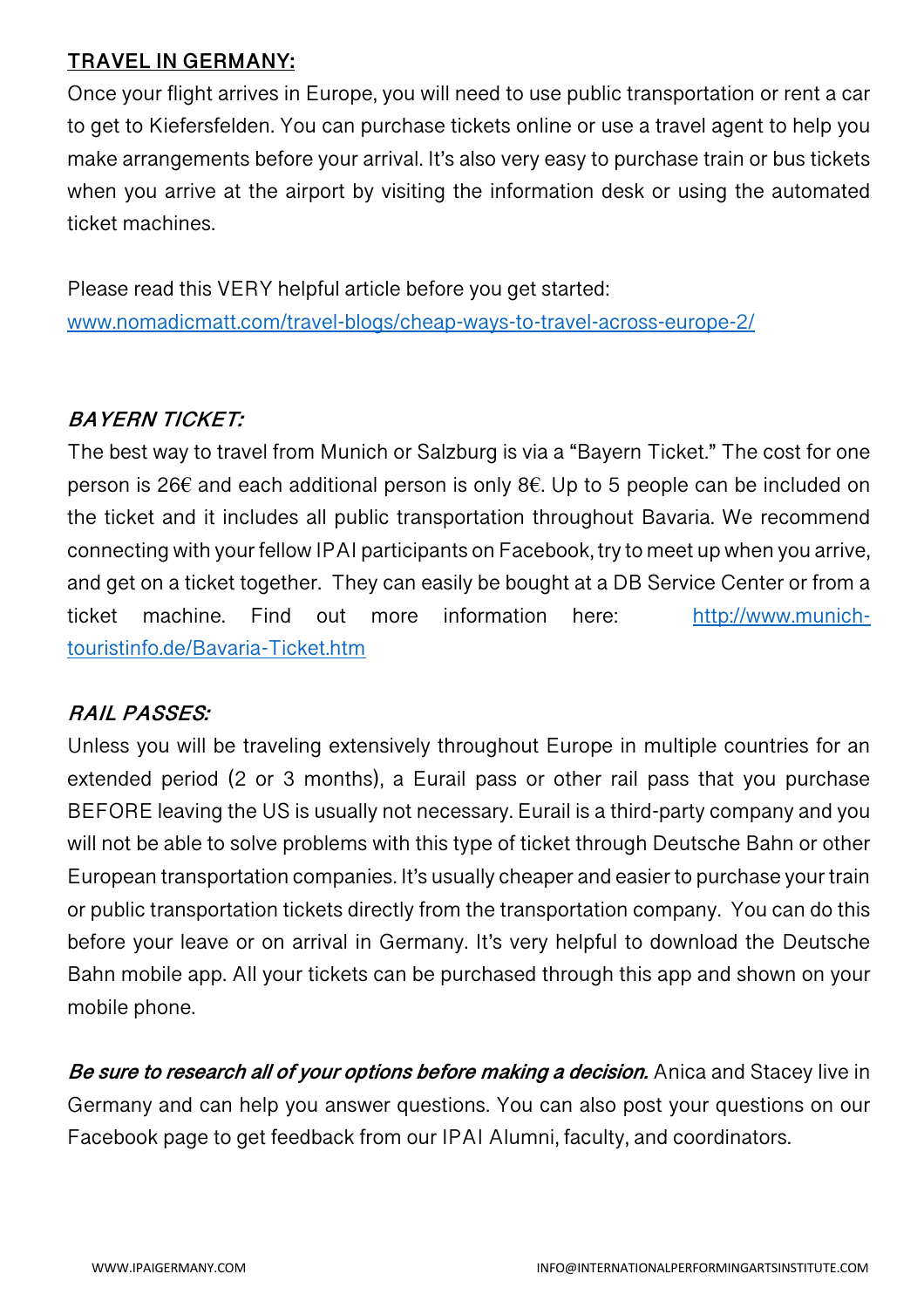#### **TRAVEL IN GERMANY:**

Once your flight arrives in Europe, you will need to use public transportation or rent a car to get to Kiefersfelden. You can purchase tickets online or use a travel agent to help you make arrangements before your arrival. It's also very easy to purchase train or bus tickets when you arrive at the airport by visiting the information desk or using the automated ticket machines.

Please read this VERY helpful article before you get started: www.nomadicmatt.com/travel-blogs/cheap-ways-to-travel-across-europe-2/

#### **BAYERN TICKET:**

The best way to travel from Munich or Salzburg is via a "Bayern Ticket." The cost for one person is 26 $\epsilon$  and each additional person is only 8 $\epsilon$ . Up to 5 people can be included on the ticket and it includes all public transportation throughout Bavaria. We recommend connecting with your fellow IPAI participants on Facebook, try to meet up when you arrive, and get on a ticket together. They can easily be bought at a DB Service Center or from a ticket machine. Find out more information here: http://www.munichtouristinfo.de/Bavaria-Ticket.htm

#### **RAIL PASSES:**

Unless you will be traveling extensively throughout Europe in multiple countries for an extended period (2 or 3 months), a Eurail pass or other rail pass that you purchase BEFORE leaving the US is usually not necessary. Eurail is a third-party company and you will not be able to solve problems with this type of ticket through Deutsche Bahn or other European transportation companies. It's usually cheaper and easier to purchase your train or public transportation tickets directly from the transportation company. You can do this before your leave or on arrival in Germany. It's very helpful to download the Deutsche Bahn mobile app. All your tickets can be purchased through this app and shown on your mobile phone.

**Be sure to research all of your options before making a decision.** Anica and Stacey live in Germany and can help you answer questions. You can also post your questions on our Facebook page to get feedback from our IPAI Alumni, faculty, and coordinators.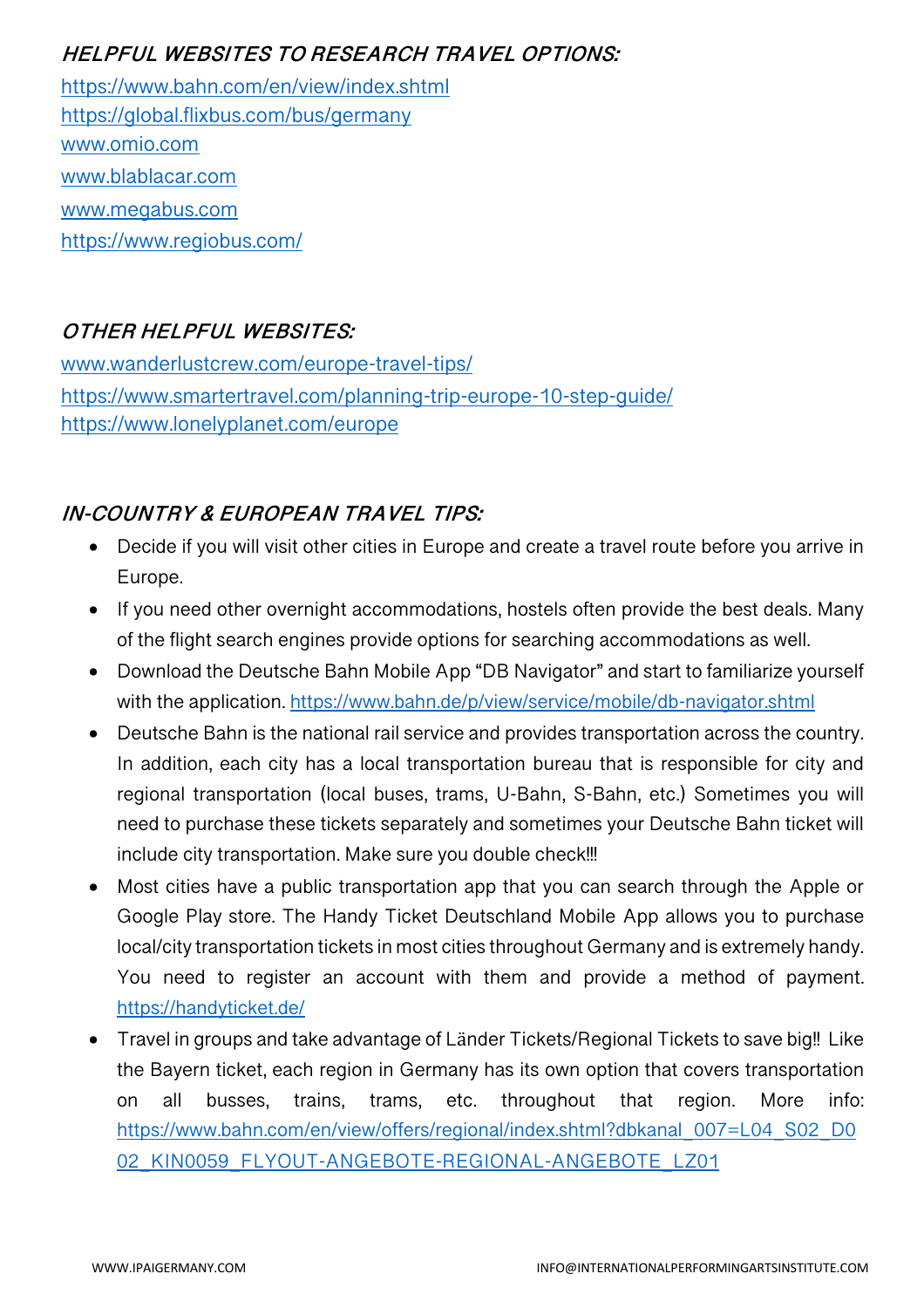#### **HELPFUL WEBSITES TO RESEARCH TRAVEL OPTIONS:**

https://www.bahn.com/en/view/index.shtml https://global.flixbus.com/bus/germany www.omio.com www.blablacar.com www.megabus.com https://www.regiobus.com/

#### **OTHER HELPFUL WEBSITES:**

www.wanderlustcrew.com/europe-travel-tips/ https://www.smartertravel.com/planning-trip-europe-10-step-guide/ https://www.lonelyplanet.com/europe

#### **IN-COUNTRY & EUROPEAN TRAVEL TIPS:**

- Decide if you will visit other cities in Europe and create a travel route before you arrive in Europe.
- If you need other overnight accommodations, hostels often provide the best deals. Many of the flight search engines provide options for searching accommodations as well.
- Download the Deutsche Bahn Mobile App "DB Navigator" and start to familiarize yourself with the application. https://www.bahn.de/p/view/service/mobile/db-navigator.shtml
- Deutsche Bahn is the national rail service and provides transportation across the country. In addition, each city has a local transportation bureau that is responsible for city and regional transportation (local buses, trams, U-Bahn, S-Bahn, etc.) Sometimes you will need to purchase these tickets separately and sometimes your Deutsche Bahn ticket will include city transportation. Make sure you double check!!!
- Most cities have a public transportation app that you can search through the Apple or Google Play store. The Handy Ticket Deutschland Mobile App allows you to purchase local/city transportation tickets in most cities throughout Germany and is extremely handy. You need to register an account with them and provide a method of payment. https://handyticket.de/
- Travel in groups and take advantage of Länder Tickets/Regional Tickets to save big!! Like the Bayern ticket, each region in Germany has its own option that covers transportation on all busses, trains, trams, etc. throughout that region. More info: https://www.bahn.com/en/view/offers/regional/index.shtml?dbkanal\_007=L04\_S02\_D0 02 KIN0059 FLYOUT-ANGEBOTE-REGIONAL-ANGEBOTE LZ01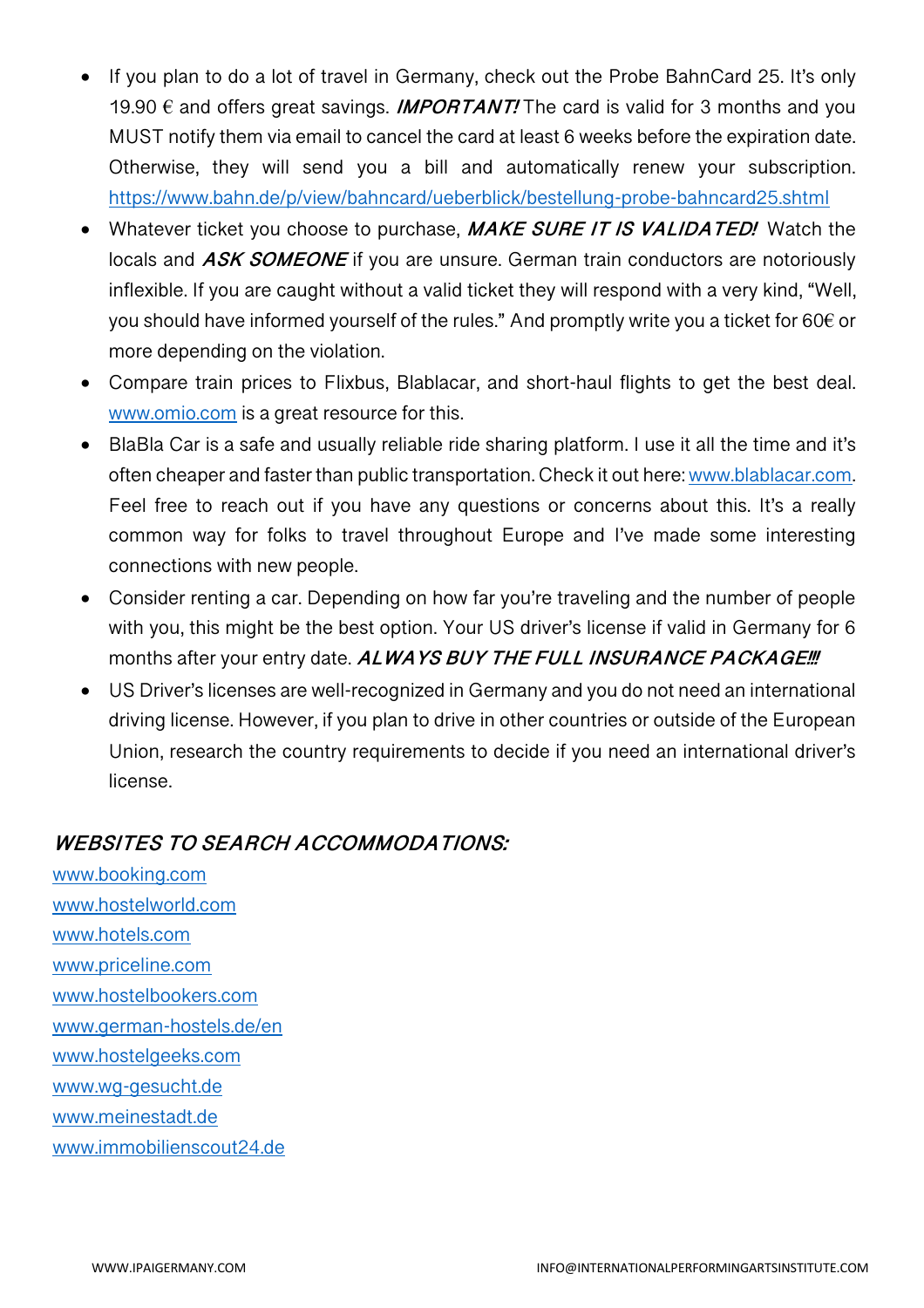- If you plan to do a lot of travel in Germany, check out the Probe BahnCard 25. It's only 19.90  $\epsilon$  and offers great savings. **IMPORTANT!** The card is valid for 3 months and you MUST notify them via email to cancel the card at least 6 weeks before the expiration date. Otherwise, they will send you a bill and automatically renew your subscription. https://www.bahn.de/p/view/bahncard/ueberblick/bestellung-probe-bahncard25.shtml
- Whatever ticket you choose to purchase, **MAKE SURE IT IS VALIDATED!** Watch the locals and **ASK SOMEONE** if you are unsure. German train conductors are notoriously inflexible. If you are caught without a valid ticket they will respond with a very kind, "Well, you should have informed yourself of the rules." And promptly write you a ticket for 60€ or more depending on the violation.
- Compare train prices to Flixbus, Blablacar, and short-haul flights to get the best deal. www.omio.com is a great resource for this.
- BlaBla Car is a safe and usually reliable ride sharing platform. I use it all the time and it's often cheaper and faster than public transportation. Check it out here: www.blablacar.com. Feel free to reach out if you have any questions or concerns about this. It's a really common way for folks to travel throughout Europe and I've made some interesting connections with new people.
- Consider renting a car. Depending on how far you're traveling and the number of people with you, this might be the best option. Your US driver's license if valid in Germany for 6 months after your entry date. **ALWAYS BUY THE FULL INSURANCE PACKAGE!!!**
- US Driver's licenses are well-recognized in Germany and you do not need an international driving license. However, if you plan to drive in other countries or outside of the European Union, research the country requirements to decide if you need an international driver's license.

#### **WEBSITES TO SEARCH ACCOMMODATIONS:**

www.booking.com www.hostelworld.com www.hotels.com www.priceline.com www.hostelbookers.com www.german-hostels.de/en www.hostelgeeks.com www.wg-gesucht.de www.meinestadt.de www.immobilienscout24.de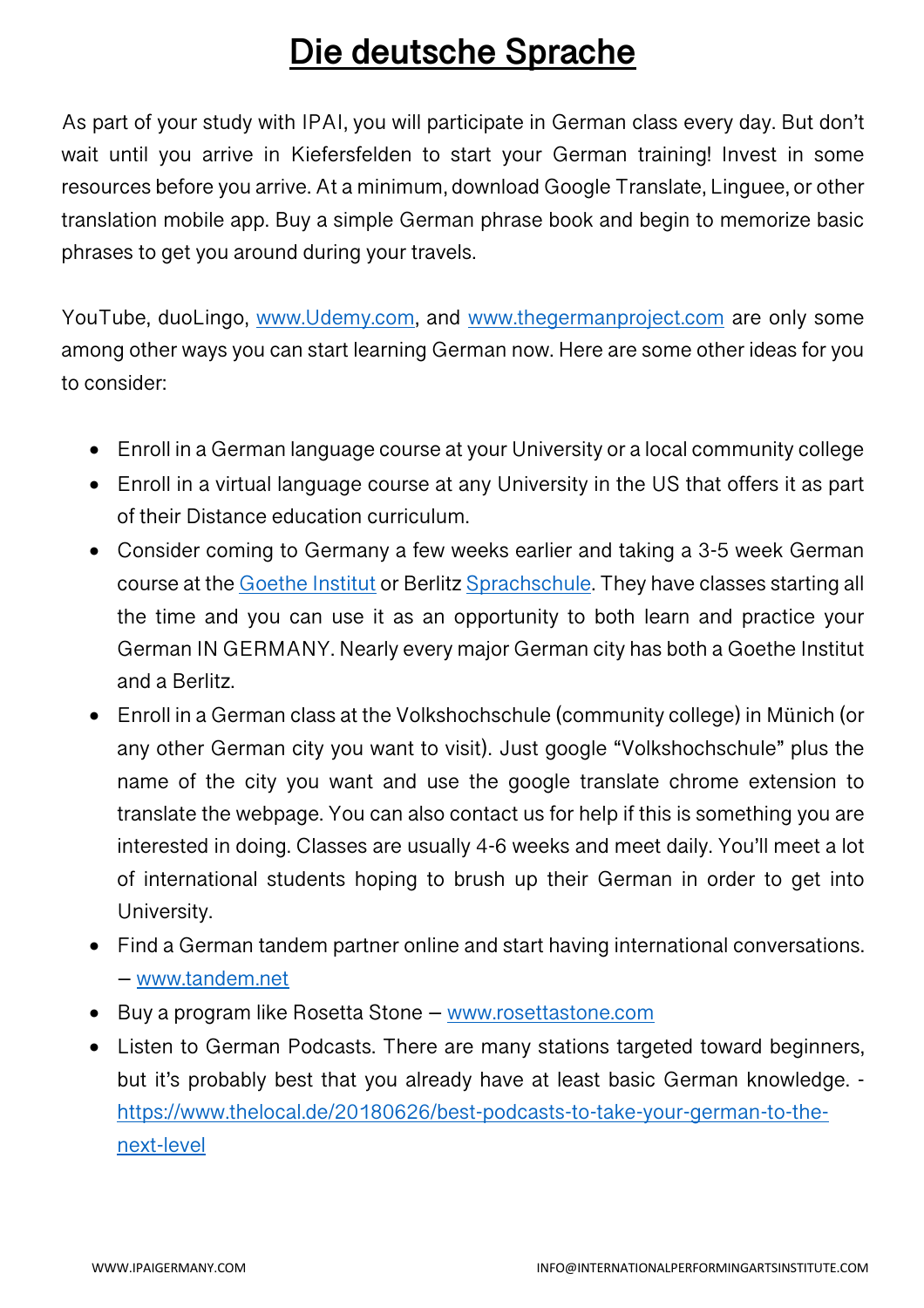## **Die deutsche Sprache**

As part of your study with IPAI, you will participate in German class every day. But don't wait until you arrive in Kiefersfelden to start your German training! Invest in some resources before you arrive. At a minimum, download Google Translate, Linguee, or other translation mobile app. Buy a simple German phrase book and begin to memorize basic phrases to get you around during your travels.

YouTube, duoLingo, www.Udemy.com, and www.thegermanproject.com are only some among other ways you can start learning German now. Here are some other ideas for you to consider:

- Enroll in a German language course at your University or a local community college
- Enroll in a virtual language course at any University in the US that offers it as part of their Distance education curriculum.
- Consider coming to Germany a few weeks earlier and taking a 3-5 week German course at the Goethe Institut or Berlitz Sprachschule. They have classes starting all the time and you can use it as an opportunity to both learn and practice your German IN GERMANY. Nearly every major German city has both a Goethe Institut and a Berlitz.
- Enroll in a German class at the Volkshochschule (community college) in Münich (or any other German city you want to visit). Just google "Volkshochschule" plus the name of the city you want and use the google translate chrome extension to translate the webpage. You can also contact us for help if this is something you are interested in doing. Classes are usually 4-6 weeks and meet daily. You'll meet a lot of international students hoping to brush up their German in order to get into University.
- Find a German tandem partner online and start having international conversations. – www.tandem.net
- Buy a program like Rosetta Stone www.rosettastone.com
- Listen to German Podcasts. There are many stations targeted toward beginners, but it's probably best that you already have at least basic German knowledge. https://www.thelocal.de/20180626/best-podcasts-to-take-your-german-to-thenext-level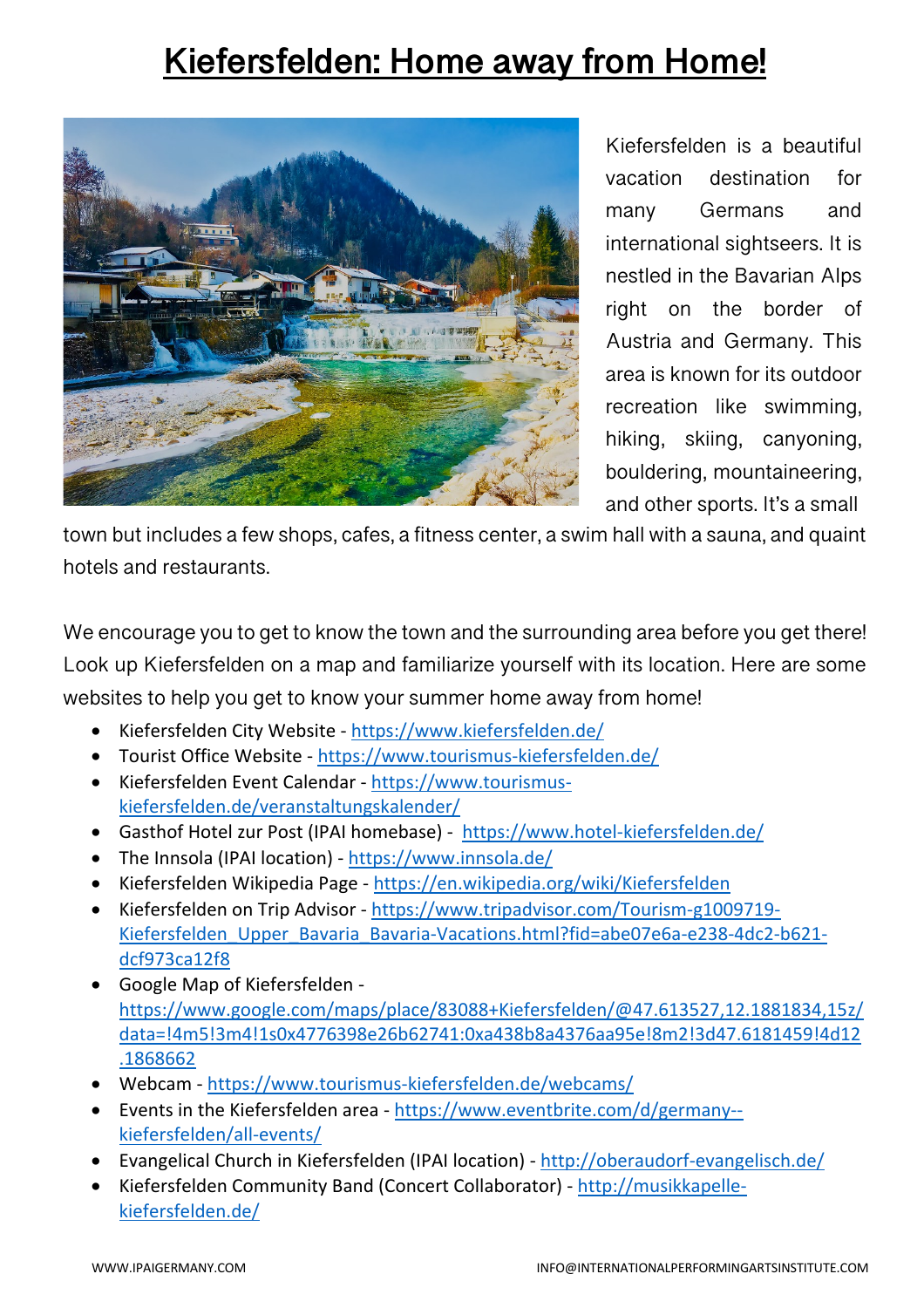## **Kiefersfelden: Home away from Home!**



Kiefersfelden is a beautiful vacation destination for many Germans and international sightseers. It is nestled in the Bavarian Alps right on the border of Austria and Germany. This area is known for its outdoor recreation like swimming, hiking, skiing, canyoning, bouldering, mountaineering, and other sports. It's a small

town but includes a few shops, cafes, a fitness center, a swim hall with a sauna, and quaint hotels and restaurants.

We encourage you to get to know the town and the surrounding area before you get there! Look up Kiefersfelden on a map and familiarize yourself with its location. Here are some websites to help you get to know your summer home away from home!

- Kiefersfelden City Website https://www.kiefersfelden.de/
- Tourist Office Website https://www.tourismus-kiefersfelden.de/
- Kiefersfelden Event Calendar https://www.tourismuskiefersfelden.de/veranstaltungskalender/
- Gasthof Hotel zur Post (IPAI homebase) https://www.hotel-kiefersfelden.de/
- The Innsola (IPAI location) https://www.innsola.de/
- Kiefersfelden Wikipedia Page https://en.wikipedia.org/wiki/Kiefersfelden
- Kiefersfelden on Trip Advisor https://www.tripadvisor.com/Tourism-g1009719- Kiefersfelden Upper Bavaria Bavaria-Vacations.html?fid=abe07e6a-e238-4dc2-b621dcf973ca12f8
- Google Map of Kiefersfelden https://www.google.com/maps/place/83088+Kiefersfelden/@47.613527,12.1881834,15z/ data=!4m5!3m4!1s0x4776398e26b62741:0xa438b8a4376aa95e!8m2!3d47.6181459!4d12 .1868662
- Webcam https://www.tourismus-kiefersfelden.de/webcams/
- Events in the Kiefersfelden area https://www.eventbrite.com/d/germany- kiefersfelden/all-events/
- Evangelical Church in Kiefersfelden (IPAI location) http://oberaudorf-evangelisch.de/
- Kiefersfelden Community Band (Concert Collaborator) http://musikkapellekiefersfelden.de/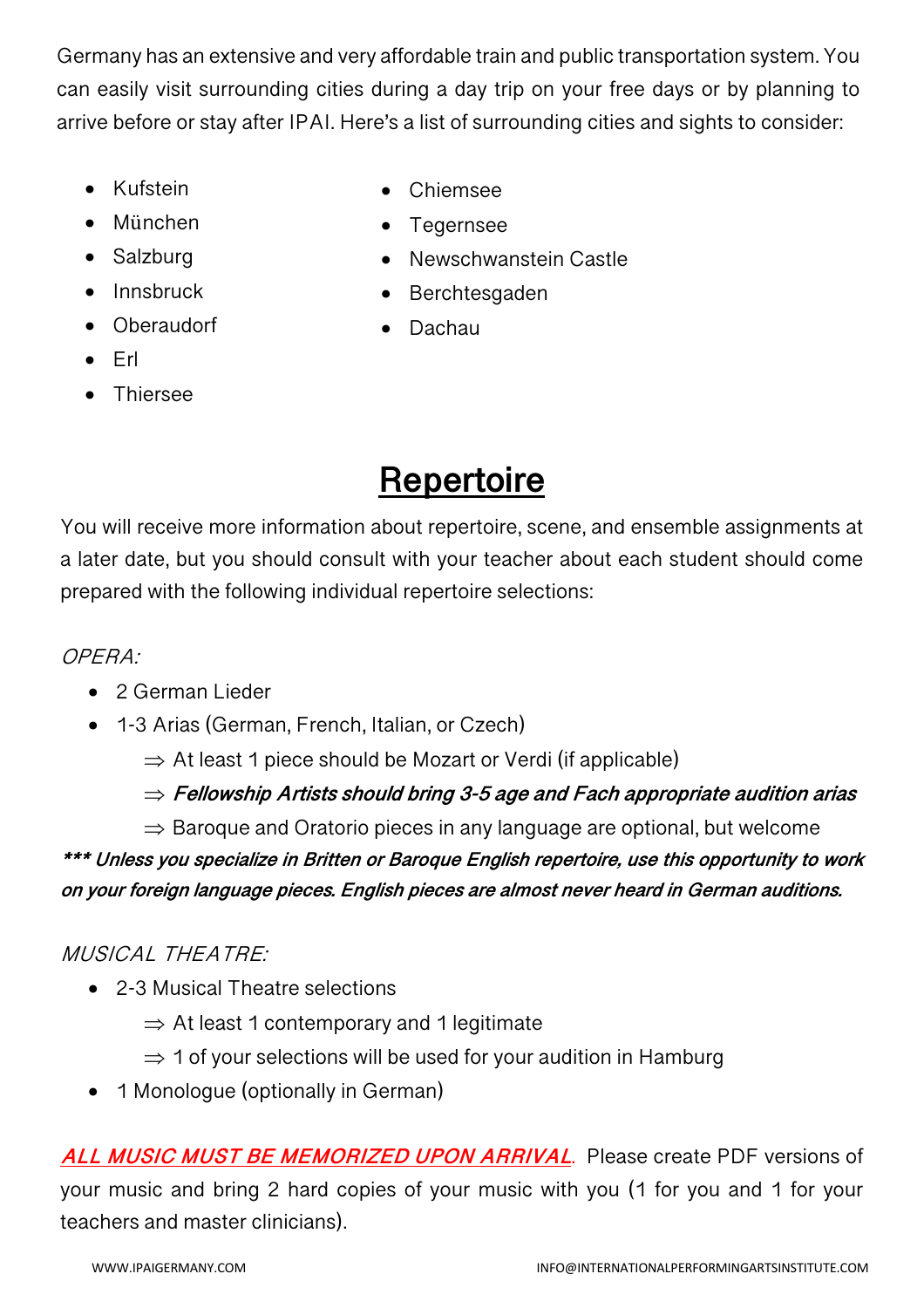Germany has an extensive and very affordable train and public transportation system. You can easily visit surrounding cities during a day trip on your free days or by planning to arrive before or stay after IPAI. Here's a list of surrounding cities and sights to consider:

- Kufstein
- München
- Salzburg
- Innsbruck
- Oberaudorf

• Tegernsee

• Chiemsee

- Newschwanstein Castle
- Berchtesgaden
- Dachau

- Erl
- **Thiersee**

## **Repertoire**

You will receive more information about repertoire, scene, and ensemble assignments at a later date, but you should consult with your teacher about each student should come prepared with the following individual repertoire selections:

#### OPERA:

- 2 German Lieder
- 1-3 Arias (German, French, Italian, or Czech)
	- $\Rightarrow$  At least 1 piece should be Mozart or Verdi (if applicable)

Þ **Fellowship Artists should bring 3-5 age and Fach appropriate audition arias**

 $\Rightarrow$  Baroque and Oratorio pieces in any language are optional, but welcome

**\*\*\* Unless you specialize in Britten or Baroque English repertoire, use this opportunity to work on your foreign language pieces. English pieces are almost never heard in German auditions.** 

#### MUSICAL THEATRE:

- 2-3 Musical Theatre selections
	- $\Rightarrow$  At least 1 contemporary and 1 legitimate
	- $\Rightarrow$  1 of your selections will be used for your audition in Hamburg
- 1 Monologue (optionally in German)

**ALL MUSIC MUST BE MEMORIZED UPON ARRIVAL**. Please create PDF versions of your music and bring 2 hard copies of your music with you (1 for you and 1 for your teachers and master clinicians).